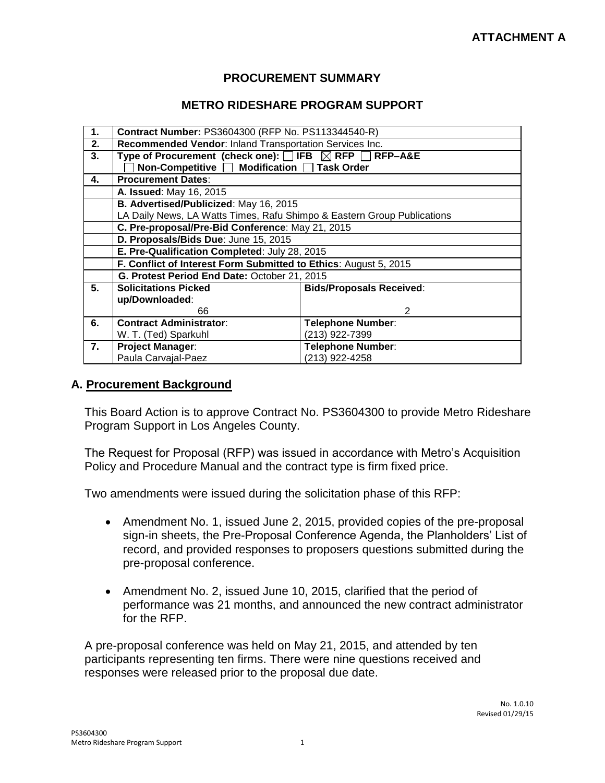### **PROCUREMENT SUMMARY**

### **METRO RIDESHARE PROGRAM SUPPORT**

| 1.           | Contract Number: PS3604300 (RFP No. PS113344540-R)                            |                                 |  |  |  |  |
|--------------|-------------------------------------------------------------------------------|---------------------------------|--|--|--|--|
| 2.           | Recommended Vendor: Inland Transportation Services Inc.                       |                                 |  |  |  |  |
| 3.           | Type of Procurement (check one): $\Box$ IFB $\boxtimes$ RFP $\Box$<br>RFP-A&E |                                 |  |  |  |  |
|              | Non-Competitive   Modification   Task Order                                   |                                 |  |  |  |  |
| $\mathbf{4}$ | <b>Procurement Dates:</b>                                                     |                                 |  |  |  |  |
|              | A. Issued: May 16, 2015                                                       |                                 |  |  |  |  |
|              | B. Advertised/Publicized: May 16, 2015                                        |                                 |  |  |  |  |
|              | LA Daily News, LA Watts Times, Rafu Shimpo & Eastern Group Publications       |                                 |  |  |  |  |
|              | C. Pre-proposal/Pre-Bid Conference: May 21, 2015                              |                                 |  |  |  |  |
|              | D. Proposals/Bids Due: June 15, 2015                                          |                                 |  |  |  |  |
|              | E. Pre-Qualification Completed: July 28, 2015                                 |                                 |  |  |  |  |
|              | F. Conflict of Interest Form Submitted to Ethics: August 5, 2015              |                                 |  |  |  |  |
|              | G. Protest Period End Date: October 21, 2015                                  |                                 |  |  |  |  |
| 5.           | <b>Solicitations Picked</b>                                                   | <b>Bids/Proposals Received:</b> |  |  |  |  |
|              | up/Downloaded:                                                                |                                 |  |  |  |  |
|              | 66                                                                            | 2                               |  |  |  |  |
| 6.           | <b>Contract Administrator:</b>                                                | <b>Telephone Number:</b>        |  |  |  |  |
|              | W. T. (Ted) Sparkuhl                                                          | (213) 922-7399                  |  |  |  |  |
| 7.           | <b>Project Manager:</b>                                                       | <b>Telephone Number:</b>        |  |  |  |  |
|              | Paula Carvajal-Paez                                                           | (213) 922-4258                  |  |  |  |  |

#### **A. Procurement Background**

This Board Action is to approve Contract No. PS3604300 to provide Metro Rideshare Program Support in Los Angeles County.

The Request for Proposal (RFP) was issued in accordance with Metro's Acquisition Policy and Procedure Manual and the contract type is firm fixed price.

Two amendments were issued during the solicitation phase of this RFP:

- Amendment No. 1, issued June 2, 2015, provided copies of the pre-proposal sign-in sheets, the Pre-Proposal Conference Agenda, the Planholders' List of record, and provided responses to proposers questions submitted during the pre-proposal conference.
- Amendment No. 2, issued June 10, 2015, clarified that the period of performance was 21 months, and announced the new contract administrator for the RFP.

A pre-proposal conference was held on May 21, 2015, and attended by ten participants representing ten firms. There were nine questions received and responses were released prior to the proposal due date.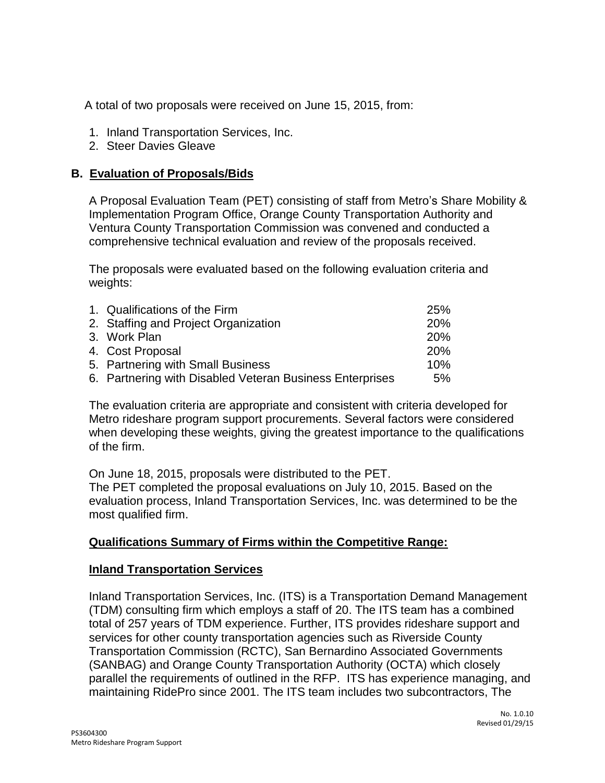A total of two proposals were received on June 15, 2015, from:

- 1. Inland Transportation Services, Inc.
- 2. Steer Davies Gleave

### **B. Evaluation of Proposals/Bids**

A Proposal Evaluation Team (PET) consisting of staff from Metro's Share Mobility & Implementation Program Office, Orange County Transportation Authority and Ventura County Transportation Commission was convened and conducted a comprehensive technical evaluation and review of the proposals received.

The proposals were evaluated based on the following evaluation criteria and weights:

| 1. Qualifications of the Firm                            | 25%        |
|----------------------------------------------------------|------------|
| 2. Staffing and Project Organization                     | 20%        |
| 3. Work Plan                                             | <b>20%</b> |
| 4. Cost Proposal                                         | <b>20%</b> |
| 5. Partnering with Small Business                        | 10%        |
| 6. Partnering with Disabled Veteran Business Enterprises | 5%         |
|                                                          |            |

The evaluation criteria are appropriate and consistent with criteria developed for Metro rideshare program support procurements. Several factors were considered when developing these weights, giving the greatest importance to the qualifications of the firm.

On June 18, 2015, proposals were distributed to the PET. The PET completed the proposal evaluations on July 10, 2015. Based on the evaluation process, Inland Transportation Services, Inc. was determined to be the most qualified firm.

## **Qualifications Summary of Firms within the Competitive Range:**

#### **Inland Transportation Services**

Inland Transportation Services, Inc. (ITS) is a Transportation Demand Management (TDM) consulting firm which employs a staff of 20. The ITS team has a combined total of 257 years of TDM experience. Further, ITS provides rideshare support and services for other county transportation agencies such as Riverside County Transportation Commission (RCTC), San Bernardino Associated Governments (SANBAG) and Orange County Transportation Authority (OCTA) which closely parallel the requirements of outlined in the RFP. ITS has experience managing, and maintaining RidePro since 2001. The ITS team includes two subcontractors, The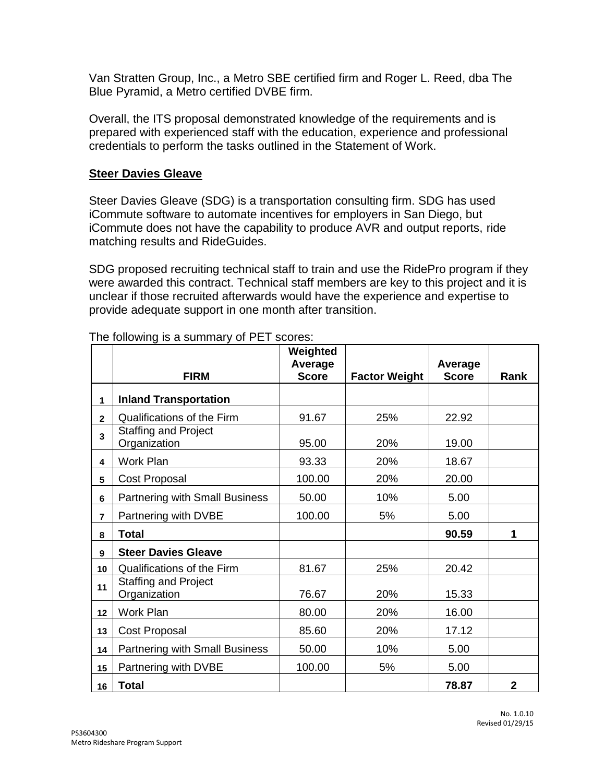Van Stratten Group, Inc., a Metro SBE certified firm and Roger L. Reed, dba The Blue Pyramid, a Metro certified DVBE firm.

Overall, the ITS proposal demonstrated knowledge of the requirements and is prepared with experienced staff with the education, experience and professional credentials to perform the tasks outlined in the Statement of Work.

### **Steer Davies Gleave**

Steer Davies Gleave (SDG) is a transportation consulting firm. SDG has used iCommute software to automate incentives for employers in San Diego, but iCommute does not have the capability to produce AVR and output reports, ride matching results and RideGuides.

SDG proposed recruiting technical staff to train and use the RidePro program if they were awarded this contract. Technical staff members are key to this project and it is unclear if those recruited afterwards would have the experience and expertise to provide adequate support in one month after transition.

|                | <b>FIRM</b>                                 | Weighted<br>Average<br><b>Score</b> | <b>Factor Weight</b> | Average<br><b>Score</b> | Rank           |
|----------------|---------------------------------------------|-------------------------------------|----------------------|-------------------------|----------------|
| 1              | <b>Inland Transportation</b>                |                                     |                      |                         |                |
| $\overline{2}$ | Qualifications of the Firm                  | 91.67                               | 25%                  | 22.92                   |                |
| 3              | <b>Staffing and Project</b><br>Organization | 95.00                               | 20%                  | 19.00                   |                |
| 4              | Work Plan                                   | 93.33                               | 20%                  | 18.67                   |                |
| 5              | Cost Proposal                               | 100.00                              | 20%                  | 20.00                   |                |
| 6              | <b>Partnering with Small Business</b>       | 50.00                               | 10%                  | 5.00                    |                |
| $\overline{7}$ | Partnering with DVBE                        | 100.00                              | 5%                   | 5.00                    |                |
| 8              | <b>Total</b>                                |                                     |                      | 90.59                   | 1              |
| 9              | <b>Steer Davies Gleave</b>                  |                                     |                      |                         |                |
| 10             | <b>Qualifications of the Firm</b>           | 81.67                               | 25%                  | 20.42                   |                |
| 11             | <b>Staffing and Project</b><br>Organization | 76.67                               | 20%                  | 15.33                   |                |
| 12             | Work Plan                                   | 80.00                               | 20%                  | 16.00                   |                |
| 13             | Cost Proposal                               | 85.60                               | 20%                  | 17.12                   |                |
| 14             | <b>Partnering with Small Business</b>       | 50.00                               | 10%                  | 5.00                    |                |
| 15             | Partnering with DVBE                        | 100.00                              | 5%                   | 5.00                    |                |
| 16             | <b>Total</b>                                |                                     |                      | 78.87                   | $\overline{2}$ |

The following is a summary of PET scores: